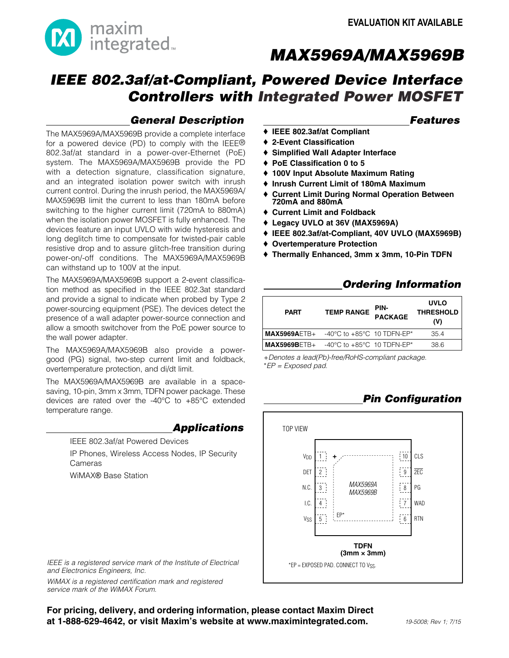

## *IEEE 802.3af/at-Compliant, Powered Device Interface Controllers with Integrated Power MOSFET*

### *General Description*

 *Features*

- ◆ IEEE 802.3af/at Compliant ♦ 2-Event Classification
- ♦ Simplified Wall Adapter Interface
- ◆ PoE Classification 0 to 5
- ◆ 100V Input Absolute Maximum Rating
- ♦ Inrush Current Limit of 180mA Maximum
- **Current Limit During Normal Operation Between** 720mA and 880mA
- $\triangle$  Current Limit and Foldback
- ◆ Legacy UVLO at 36V (MAX5969A)
- ◆ IEEE 802.3af/at-Compliant, 40V UVLO (MAX5969B)
- ♦ Overtemperature Protection
- ◆ Thermally Enhanced, 3mm x 3mm, 10-Pin TDFN

### *Ordering Information*

| <b>PART</b>    | <b>TEMP RANGE</b>                                | PIN-<br><b>PACKAGE</b> | <b>UVLO</b><br><b>THRESHOLD</b><br>(V) |
|----------------|--------------------------------------------------|------------------------|----------------------------------------|
| $MAX5969AETB+$ | -40 $\degree$ C to +85 $\degree$ C 10 TDFN-EP*   |                        | 354                                    |
| $MAX5969BETB+$ | -40 $^{\circ}$ C to +85 $^{\circ}$ C 10 TDFN-EP* |                        | 38.6                                   |

+*Denotes a lead(Pb)-free/RoHS-compliant package.* \**EP = Exposed pad.*

### *Pin Configuration*



The MAX5969A/MAX5969B provide a complete interface for a powered device (PD) to comply with the IEEE® 802.3af/at standard in a power-over-Ethernet (PoE) system. The MAX5969A/MAX5969B provide the PD with a detection signature, classification signature, and an integrated isolation power switch with inrush current control. During the inrush period, the MAX5969A/ MAX5969B limit the current to less than 180mA before switching to the higher current limit (720mA to 880mA) when the isolation power MOSFET is fully enhanced. The devices feature an input UVLO with wide hysteresis and long deglitch time to compensate for twisted-pair cable resistive drop and to assure glitch-free transition during power-on/-off conditions. The MAX5969A/MAX5969B can withstand up to 100V at the input.

The MAX5969A/MAX5969B support a 2-event classification method as specified in the IEEE 802.3at standard and provide a signal to indicate when probed by Type 2 power-sourcing equipment (PSE). The devices detect the presence of a wall adapter power-source connection and allow a smooth switchover from the PoE power source to the wall power adapter.

The MAX5969A/MAX5969B also provide a powergood (PG) signal, two-step current limit and foldback, overtemperature protection, and di/dt limit.

The MAX5969A/MAX5969B are available in a spacesaving, 10-pin, 3mm x 3mm, TDFN power package. These devices are rated over the -40 $^{\circ}$ C to +85 $^{\circ}$ C extended temperature range.

> *Applications* IEEE 802.3af/at Powered Devices IP Phones, Wireless Access Nodes, IP Security Cameras

WiMAX® Base Station

*IEEE is a registered service mark of the Institute of Electrical and Electronics Engineers, Inc.*

*WiMAX is a registered certification mark and registered service mark of the WiMAX Forum.*

For pricing, delivery, and ordering information, please contact Maxim Direct at 1-888-629-4642, or visit Maxim's website at www.maximintegrated.com.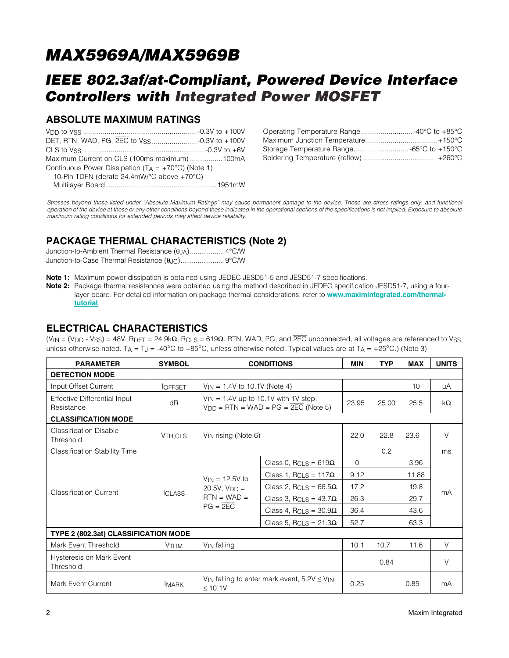## *IEEE 802.3af/at-Compliant, Powered Device Interface Controllers with Integrated Power MOSFET*

### ABSOLUTE MAXIMUM RATINGS

| Maximum Current on CLS (100ms maximum)100mA                   |  |
|---------------------------------------------------------------|--|
| Continuous Power Dissipation ( $TA = +70^{\circ}C$ ) (Note 1) |  |
| 10-Pin TDFN (derate 24.4mW/°C above +70°C)                    |  |
|                                                               |  |

| Operating Temperature Range -40°C to +85°C |
|--------------------------------------------|
|                                            |
| Storage Temperature Range -65°C to +150°C  |
|                                            |

*Stresses beyond those listed under "Absolute Maximum Ratings" may cause permanent damage to the device. These are stress ratings only, and functional operation of the device at these or any other conditions beyond those indicated in the operational sections of the specifications is not implied. Exposure to absolute maximum rating conditions for extended periods may affect device reliability.*

### PACKAGE THERMAL CHARACTERISTICS (Note 2)

Note 1: Maximum power dissipation is obtained using JEDEC JESD51-5 and JESD51-7 specifications.

Note 2: Package thermal resistances were obtained using the method described in JEDEC specification JESD51-7, using a fourlayer board. For detailed information on package thermal considerations, refer to **[www.maximintegrated.com/thermal](www.maximintegrated.com/thermal-tutorial)**[tutorial](www.maximintegrated.com/thermal-tutorial).

#### ELECTRICAL CHARACTERISTICS

(VIN = (VDD - VSS) = 48V, RDET = 24.9k $\Omega$ , RCLS = 619 $\Omega$ . RTN, WAD, PG, and  $\overline{2EC}$  unconnected, all voltages are referenced to Vss, unless otherwise noted. T<sub>A</sub> = T<sub>J</sub> = -40°C to +85°C, unless otherwise noted. Typical values are at T<sub>A</sub> = +25°C.) (Note 3)

| <b>PARAMETER</b>                                  | <b>SYMBOL</b>          | <b>CONDITIONS</b>                                                                                  | MIN                                      | <b>TYP</b> | <b>MAX</b> | <b>UNITS</b> |        |
|---------------------------------------------------|------------------------|----------------------------------------------------------------------------------------------------|------------------------------------------|------------|------------|--------------|--------|
| <b>DETECTION MODE</b>                             |                        |                                                                                                    |                                          |            |            |              |        |
| Input Offset Current                              | <b>IOFFSET</b>         |                                                                                                    | $V_{IN}$ = 1.4V to 10.1V (Note 4)        |            |            | 10           | μA     |
| <b>Effective Differential Input</b><br>Resistance | dR                     | $V_{IN}$ = 1.4V up to 10.1V with 1V step,<br>$V_{DD}$ = RTN = WAD = PG = $\overline{2EC}$ (Note 5) | 23.95                                    | 25.00      | 25.5       | $k\Omega$    |        |
| <b>CLASSIFICATION MODE</b>                        |                        |                                                                                                    |                                          |            |            |              |        |
| <b>Classification Disable</b><br>Threshold        | V <sub>TH,CLS</sub>    | V <sub>IN</sub> rising (Note 6)                                                                    |                                          | 22.0       | 22.8       | 23.6         | $\vee$ |
| <b>Classification Stability Time</b>              |                        |                                                                                                    |                                          |            | 0.2        |              | ms     |
|                                                   | <b>ICLASS</b>          | $V_{IN} = 12.5V$ to<br>$20.5V, VDD =$<br>$RTN = WAD =$<br>$PG = 2EC$                               | Class 0, RCLS = $619\Omega$              | $\Omega$   |            | 3.96         |        |
|                                                   |                        |                                                                                                    | Class 1, R <sub>CLS</sub> = $117\Omega$  | 9.12       |            | 11.88        | mA     |
|                                                   |                        |                                                                                                    | Class 2, R <sub>CLS</sub> = $66.5\Omega$ | 17.2       |            | 19.8         |        |
| <b>Classification Current</b>                     |                        |                                                                                                    | Class 3, RCLS = $43.7\Omega$             | 26.3       |            | 29.7         |        |
|                                                   |                        |                                                                                                    | Class 4, RCLS = $30.9\Omega$             | 36.4       |            | 43.6         |        |
|                                                   |                        |                                                                                                    | Class 5, RCLS = $21.3\Omega$             | 52.7       |            | 63.3         |        |
| TYPE 2 (802.3at) CLASSIFICATION MODE              |                        |                                                                                                    |                                          |            |            |              |        |
| Mark Event Threshold                              | <b>V<sub>THM</sub></b> | V <sub>IN</sub> falling                                                                            |                                          | 10.1       | 10.7       | 11.6         | $\vee$ |
| Hysteresis on Mark Event<br>Threshold             |                        |                                                                                                    |                                          |            | 0.84       |              | $\vee$ |
| <b>Mark Event Current</b>                         | <b>IMARK</b>           | V <sub>IN</sub> falling to enter mark event, $5.2V \leq V_{IN}$<br>< 10.1V                         | 0.25                                     |            | 0.85       | mA           |        |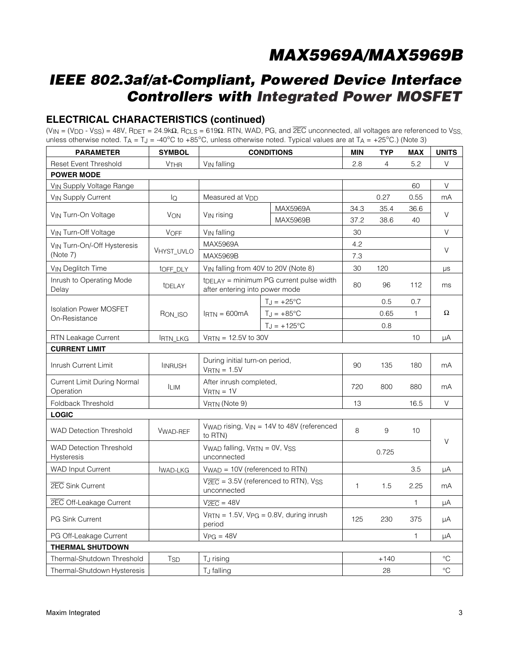## *IEEE 802.3af/at-Compliant, Powered Device Interface Controllers with Integrated Power MOSFET*

### ELECTRICAL CHARACTERISTICS (continued)

(VIN = (VDD - VSS) = 48V, RDET = 24.9k $\Omega$ , RCLS = 619 $\Omega$ . RTN, WAD, PG, and  $\overline{2EC}$  unconnected, all voltages are referenced to VSS, unless otherwise noted. T<sub>A</sub> = T<sub>J</sub> = -40°C to +85°C, unless otherwise noted. Typical values are at T<sub>A</sub> = +25°C.) (Note 3)

| <b>PARAMETER</b>                                    | <b>SYMBOL</b>    | <b>CONDITIONS</b>                                                          |                                                       | <b>MIN</b>   | <b>TYP</b>     | <b>MAX</b>   | <b>UNITS</b>    |
|-----------------------------------------------------|------------------|----------------------------------------------------------------------------|-------------------------------------------------------|--------------|----------------|--------------|-----------------|
| <b>Reset Event Threshold</b>                        | <b>VTHR</b>      | VIN falling                                                                |                                                       | 2.8          | $\overline{4}$ | 5.2          | V               |
| <b>POWER MODE</b>                                   |                  |                                                                            |                                                       |              |                |              |                 |
| VIN Supply Voltage Range                            |                  |                                                                            |                                                       |              |                | 60           | V               |
| <b>VIN Supply Current</b>                           | $I_{\mathsf{Q}}$ | Measured at V <sub>DD</sub>                                                |                                                       |              | 0.27           | 0.55         | mA              |
| VIN Turn-On Voltage                                 | <b>VON</b>       | MAX5969A<br>VIN rising                                                     |                                                       | 34.3         | 35.4           | 36.6         | $\vee$          |
|                                                     |                  |                                                                            | <b>MAX5969B</b>                                       | 37.2         | 38.6           | 40           |                 |
| VIN Turn-Off Voltage                                | <b>VOFF</b>      | V <sub>IN</sub> falling                                                    |                                                       | 30           |                |              | $\vee$          |
| VIN Turn-On/-Off Hysteresis                         |                  | MAX5969A                                                                   |                                                       | 4.2          |                |              | $\vee$          |
| (Note 7)                                            | VHYST_UVLO       | MAX5969B                                                                   |                                                       | 7.3          |                |              |                 |
| V <sub>IN</sub> Deglitch Time                       | tOFF DLY         |                                                                            | V <sub>IN</sub> falling from 40V to 20V (Note 8)      | 30           | 120            |              | μs              |
| Inrush to Operating Mode<br>Delay                   | tDELAY           | after entering into power mode                                             | $t$ <sub>DELAY</sub> = minimum PG current pulse width | 80           | 96             | 112          | ms              |
|                                                     |                  |                                                                            | $T_J = +25$ °C                                        |              | 0.5            | 0.7          |                 |
| <b>Isolation Power MOSFET</b>                       | RON_ISO          | $IRTN = 600mA$                                                             | $T_{J} = +85^{\circ}C$                                |              | 0.65           | $\mathbf{1}$ | Ω               |
| On-Resistance                                       |                  |                                                                            | $T_J = +125^{\circ}C$                                 |              | 0.8            |              |                 |
| <b>RTN Leakage Current</b>                          | <b>IRTN_LKG</b>  | $VRTN = 12.5V$ to 30V                                                      |                                                       |              |                | 10           | μA              |
| <b>CURRENT LIMIT</b>                                |                  |                                                                            |                                                       |              |                |              |                 |
| Inrush Current Limit                                | <b>INRUSH</b>    | During initial turn-on period,<br>$VRTN = 1.5V$                            |                                                       | 90           | 135            | 180          | mA              |
| Current Limit During Normal<br>Operation            | <b>ILIM</b>      | After inrush completed,<br>$VRTN = 1V$                                     |                                                       | 720          | 800            | 880          | mA              |
| Foldback Threshold                                  |                  | VRTN (Note 9)                                                              |                                                       | 13           |                | 16.5         | $\vee$          |
| <b>LOGIC</b>                                        |                  |                                                                            |                                                       |              |                |              |                 |
| <b>WAD Detection Threshold</b>                      | <b>VWAD-REF</b>  | to RTN)                                                                    | Vwap rising, $V_{IN} = 14V$ to 48V (referenced        | 8            | 9              | 10           | V               |
| <b>WAD Detection Threshold</b><br><b>Hysteresis</b> |                  | Vwap falling, VRTN = 0V, VSS<br>unconnected                                |                                                       |              | 0.725          |              |                 |
| <b>WAD Input Current</b>                            | <b>IWAD-LKG</b>  | $VWAD = 10V$ (referenced to RTN)                                           |                                                       |              |                | 3.5          | uA              |
| 2EC Sink Current                                    |                  | $V2EC = 3.5V$ (referenced to RTN), $VSS$<br>unconnected                    |                                                       | $\mathbf{1}$ | 1.5            | 2.25         | mA              |
| 2EC Off-Leakage Current                             |                  | $V2EC = 48V$                                                               |                                                       |              |                | $\mathbf{1}$ | μA              |
| <b>PG Sink Current</b>                              |                  | $V_{\text{RTN}} = 1.5V$ , $V_{\text{PG}} = 0.8V$ , during inrush<br>period |                                                       | 125          | 230            | 375          | μA              |
| PG Off-Leakage Current                              |                  | $VPG = 48V$                                                                |                                                       |              |                | $\mathbf{1}$ | μA              |
| <b>THERMAL SHUTDOWN</b>                             |                  |                                                                            |                                                       |              |                |              |                 |
| Thermal-Shutdown Threshold                          | <b>TSD</b>       | TJ rising                                                                  |                                                       |              | $+140$         |              | $^{\circ}C$     |
| Thermal-Shutdown Hysteresis                         |                  | T <sub>J</sub> falling                                                     |                                                       |              | 28             |              | $\rm ^{\circ}C$ |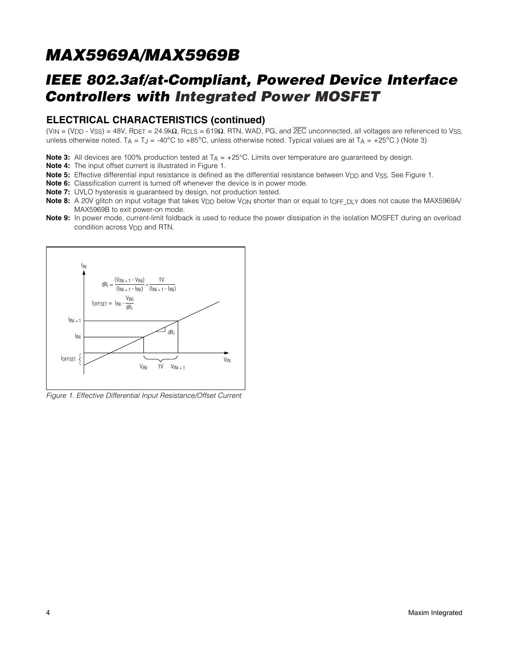## *IEEE 802.3af/at-Compliant, Powered Device Interface Controllers with Integrated Power MOSFET*

#### ELECTRICAL CHARACTERISTICS (continued)

(VIN = (VDD - VSS) = 48V, RDET = 24.9k $\Omega$ , RCLS = 619 $\Omega$ . RTN, WAD, PG, and  $\overline{2EC}$  unconnected, all voltages are referenced to VsS, unless otherwise noted. TA = T<sub>J</sub> = -40°C to +85°C, unless otherwise noted. Typical values are at TA = +25°C.) (Note 3)

Note 3: All devices are 100% production tested at  $T_A = +25^{\circ}$ C. Limits over temperature are guaranteed by design.

- Note 4: The input offset current is illustrated in Figure 1.
- Note 5: Effective differential input resistance is defined as the differential resistance between V<sub>DD</sub> and V<sub>SS</sub>. See Figure 1.
- Note 6: Classification current is turned off whenever the device is in power mode.
- Note 7: UVLO hysteresis is guaranteed by design, not production tested.
- Note 8: A 20V glitch on input voltage that takes V<sub>DD</sub> below V<sub>ON</sub> shorter than or equal to t<sub>OFF\_DLY</sub> does not cause the MAX5969A/ MAX5969B to exit power-on mode.
- Note 9: In power mode, current-limit foldback is used to reduce the power dissipation in the isolation MOSFET during an overload condition across V<sub>DD</sub> and RTN.



*Figure 1. Effective Differential Input Resistance/Offset Current*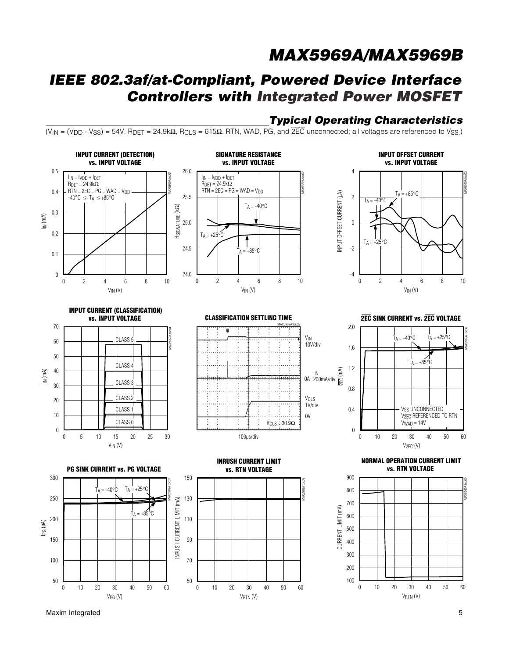## *IEEE 802.3af/at-Compliant, Powered Device Interface Controllers with Integrated Power MOSFET*

# *Typical Operating Characteristics*

 $(V_{\text{IN}} = (V_{\text{DD}} - V_{\text{SS}}) = 54V$ , R<sub>DET</sub> = 24.9k $\Omega$ , R<sub>CLS</sub> = 615 $\Omega$ . RTN, WAD, PG, and  $\overline{2EC}$  unconnected; all voltages are referenced to V<sub>SS</sub>.)



Maxim Integrated 5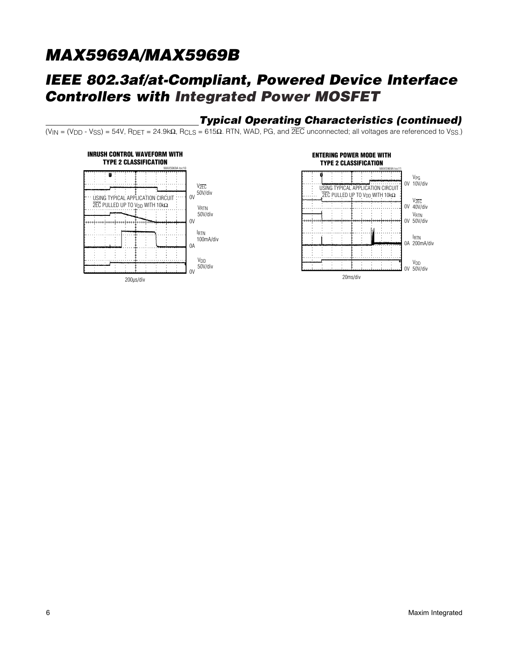## *IEEE 802.3af/at-Compliant, Powered Device Interface Controllers with Integrated Power MOSFET*

### *Typical Operating Characteristics (continued)*

(VIN = (V<sub>DD</sub> - V<sub>SS</sub>) = 54V, R<sub>DET</sub> = 24.9k $\Omega$ , R<sub>CLS</sub> = 615 $\Omega$ . RTN, WAD, PG, and  $\overline{2EC}$  unconnected; all voltages are referenced to V<sub>SS</sub>.)



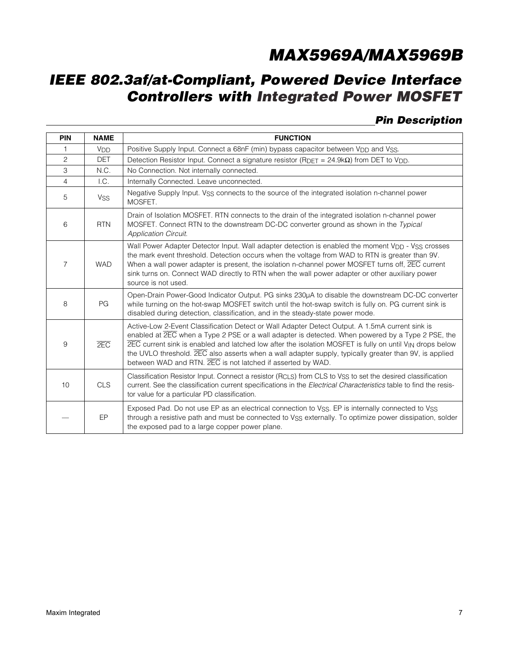## *IEEE 802.3af/at-Compliant, Powered Device Interface Controllers with Integrated Power MOSFET*

### *Pin Description*

| <b>PIN</b>     | <b>NAME</b>           | <b>FUNCTION</b>                                                                                                                                                                                                                                                                                                                                                                                                                                                                                                                 |
|----------------|-----------------------|---------------------------------------------------------------------------------------------------------------------------------------------------------------------------------------------------------------------------------------------------------------------------------------------------------------------------------------------------------------------------------------------------------------------------------------------------------------------------------------------------------------------------------|
| 1              | <b>V<sub>DD</sub></b> | Positive Supply Input. Connect a 68nF (min) bypass capacitor between V <sub>DD</sub> and Vss.                                                                                                                                                                                                                                                                                                                                                                                                                                   |
| $\overline{c}$ | <b>DET</b>            | Detection Resistor Input. Connect a signature resistor ( $R_{\text{DET}} = 24.9k\Omega$ ) from DET to V <sub>DD</sub> .                                                                                                                                                                                                                                                                                                                                                                                                         |
| 3              | N.C.                  | No Connection. Not internally connected.                                                                                                                                                                                                                                                                                                                                                                                                                                                                                        |
| $\overline{4}$ | I.C.                  | Internally Connected. Leave unconnected.                                                                                                                                                                                                                                                                                                                                                                                                                                                                                        |
| 5              | <b>VSS</b>            | Negative Supply Input. Vss connects to the source of the integrated isolation n-channel power<br>MOSFET.                                                                                                                                                                                                                                                                                                                                                                                                                        |
| 6              | <b>RTN</b>            | Drain of Isolation MOSFET. RTN connects to the drain of the integrated isolation n-channel power<br>MOSFET. Connect RTN to the downstream DC-DC converter ground as shown in the Typical<br><b>Application Circuit.</b>                                                                                                                                                                                                                                                                                                         |
| $\overline{7}$ | <b>WAD</b>            | Wall Power Adapter Detector Input. Wall adapter detection is enabled the moment V <sub>DD</sub> - V <sub>SS</sub> crosses<br>the mark event threshold. Detection occurs when the voltage from WAD to RTN is greater than 9V.<br>When a wall power adapter is present, the isolation n-channel power MOSFET turns off, <b>2EC</b> current<br>sink turns on. Connect WAD directly to RTN when the wall power adapter or other auxiliary power<br>source is not used.                                                              |
| 8              | PG                    | Open-Drain Power-Good Indicator Output. PG sinks 230µA to disable the downstream DC-DC converter<br>while turning on the hot-swap MOSFET switch until the hot-swap switch is fully on. PG current sink is<br>disabled during detection, classification, and in the steady-state power mode.                                                                                                                                                                                                                                     |
| 9              | 2EC                   | Active-Low 2-Event Classification Detect or Wall Adapter Detect Output. A 1.5mA current sink is<br>enabled at $\overline{2EC}$ when a Type 2 PSE or a wall adapter is detected. When powered by a Type 2 PSE, the<br>$\overline{2EC}$ current sink is enabled and latched low after the isolation MOSFET is fully on until V <sub>IN</sub> drops below<br>the UVLO threshold. 2EC also asserts when a wall adapter supply, typically greater than 9V, is applied<br>between WAD and RTN. 2EC is not latched if asserted by WAD. |
| 10             | <b>CLS</b>            | Classification Resistor Input. Connect a resistor $(RCLS)$ from CLS to Vss to set the desired classification<br>current. See the classification current specifications in the Electrical Characteristics table to find the resis-<br>tor value for a particular PD classification.                                                                                                                                                                                                                                              |
|                | EP                    | Exposed Pad. Do not use EP as an electrical connection to Vss. EP is internally connected to Vss<br>through a resistive path and must be connected to V <sub>SS</sub> externally. To optimize power dissipation, solder<br>the exposed pad to a large copper power plane.                                                                                                                                                                                                                                                       |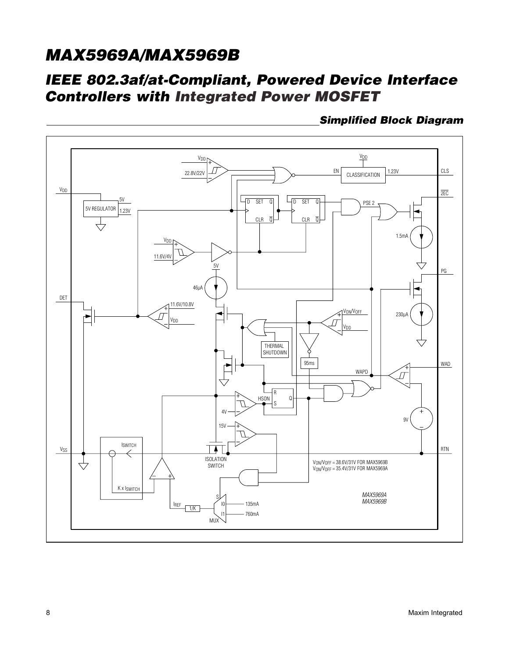### *IEEE 802.3af/at-Compliant, Powered Device Interface Controllers with Integrated Power MOSFET*

 *Simplified Block Diagram*

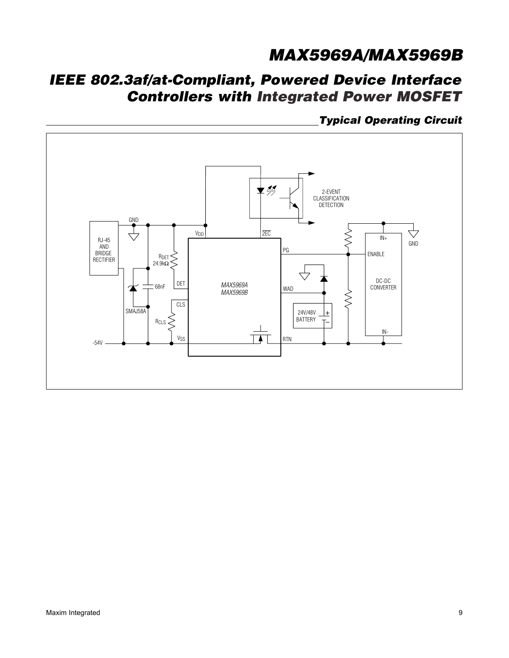## *IEEE 802.3af/at-Compliant, Powered Device Interface Controllers with Integrated Power MOSFET*

 *Typical Operating Circuit*

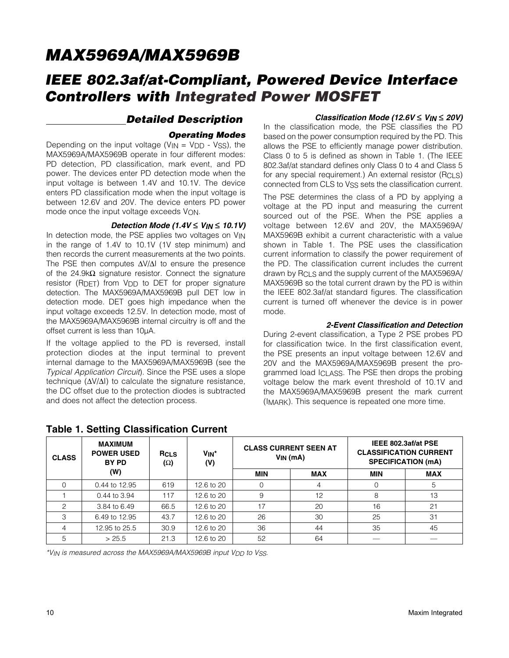### *IEEE 802.3af/at-Compliant, Powered Device Interface Controllers with Integrated Power MOSFET*

#### *Detailed Description*

#### *Operating Modes*

Depending on the input voltage  $(V_{IN} = V_{DD} - V_{SS})$ , the MAX5969A/MAX5969B operate in four different modes: PD detection, PD classification, mark event, and PD power. The devices enter PD detection mode when the input voltage is between 1.4V and 10.1V. The device enters PD classification mode when the input voltage is between 12.6V and 20V. The device enters PD power mode once the input voltage exceeds VON.

#### *Detection Mode (1.4V* ≤ *VIN* ≤ *10.1V)*

In detection mode, the PSE applies two voltages on VIN in the range of 1.4V to 10.1V (1V step minimum) and then records the current measurements at the two points. The PSE then computes  $\Delta V/\Delta I$  to ensure the presence of the 24.9k $\Omega$  signature resistor. Connect the signature resistor (RDFT) from VDD to DET for proper signature detection. The MAX5969A/MAX5969B pull DET low in detection mode. DET goes high impedance when the input voltage exceeds 12.5V. In detection mode, most of the MAX5969A/MAX5969B internal circuitry is off and the offset current is less than 10µA.

If the voltage applied to the PD is reversed, install protection diodes at the input terminal to prevent internal damage to the MAX5969A/MAX5969B (see the *Typical Application Circuit*). Since the PSE uses a slope technique  $(\Delta V/\Delta I)$  to calculate the signature resistance, the DC offset due to the protection diodes is subtracted and does not affect the detection process.

#### *Classification Mode (12.6V* ≤ *VIN* ≤ *20V)*

In the classification mode, the PSE classifies the PD based on the power consumption required by the PD. This allows the PSE to efficiently manage power distribution. Class 0 to 5 is defined as shown in Table 1. (The IEEE 802.3af/at standard defines only Class 0 to 4 and Class 5 for any special requirement.) An external resistor (RCLS) connected from CLS to VSS sets the classification current.

The PSE determines the class of a PD by applying a voltage at the PD input and measuring the current sourced out of the PSE. When the PSE applies a voltage between 12.6V and 20V, the MAX5969A/ MAX5969B exhibit a current characteristic with a value shown in Table 1. The PSE uses the classification current information to classify the power requirement of the PD. The classification current includes the current drawn by RCLS and the supply current of the MAX5969A/ MAX5969B so the total current drawn by the PD is within the IEEE 802.3af/at standard figures. The classification current is turned off whenever the device is in power mode.

#### *2-Event Classification and Detection*

During 2-event classification, a Type 2 PSE probes PD for classification twice. In the first classification event, the PSE presents an input voltage between 12.6V and 20V and the MAX5969A/MAX5969B present the programmed load ICLASS. The PSE then drops the probing voltage below the mark event threshold of 10.1V and the MAX5969A/MAX5969B present the mark current (IMARK). This sequence is repeated one more time.

| <b>CLASS</b> | <b>MAXIMUM</b><br><b>POWER USED</b><br>BY PD | <b>RCLS</b><br>$(\Omega)$ | V <sub>IN</sub> *<br>$V_{IN}(mA)$<br>(V) |            | <b>CLASS CURRENT SEEN AT</b> |            | IEEE 802.3af/at PSE<br><b>CLASSIFICATION CURRENT</b><br><b>SPECIFICATION (mA)</b> |
|--------------|----------------------------------------------|---------------------------|------------------------------------------|------------|------------------------------|------------|-----------------------------------------------------------------------------------|
|              | (W)                                          |                           |                                          | <b>MIN</b> | <b>MAX</b>                   | <b>MIN</b> | <b>MAX</b>                                                                        |
|              | 0.44 to 12.95                                | 619                       | 12.6 to 20                               |            | 4                            |            | 5                                                                                 |
|              | 0.44 to 3.94                                 | 117                       | 12.6 to 20                               | 9          | 12                           | 8          | 13                                                                                |
| 2            | 3.84 to 6.49                                 | 66.5                      | 12.6 to 20                               | 17         | 20                           | 16         | 21                                                                                |
| 3            | 6.49 to 12.95                                | 43.7                      | 12.6 to 20                               | 26         | 30                           | 25         | 31                                                                                |
| 4            | 12.95 to 25.5                                | 30.9                      | 12.6 to 20                               | 36         | 44                           | 35         | 45                                                                                |
| 5            | > 25.5                                       | 21.3                      | 12.6 to 20                               | 52         | 64                           |            |                                                                                   |

#### Table 1. Setting Classification Current

*\*VIN is measured across the MAX5969A/MAX5969B input VDD to VSS.*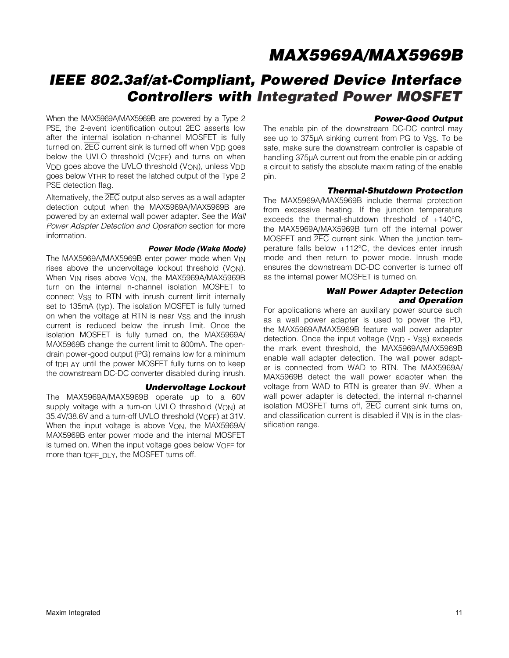## *IEEE 802.3af/at-Compliant, Powered Device Interface Controllers with Integrated Power MOSFET*

When the MAX5969A/MAX5969B are powered by a Type 2 PSE, the 2-event identification output **2EC** asserts low after the internal isolation n-channel MOSFET is fully turned on.  $\overline{2EC}$  current sink is turned off when  $V_{DD}$  goes below the UVLO threshold (VOFF) and turns on when V<sub>DD</sub> goes above the UVLO threshold (V<sub>ON</sub>), unless V<sub>DD</sub> goes below VTHR to reset the latched output of the Type 2 PSE detection flag.

Alternatively, the 2EC output also serves as a wall adapter detection output when the MAX5969A/MAX5969B are powered by an external wall power adapter. See the *Wall Power Adapter Detection and Operation* section for more information.

#### *Power Mode (Wake Mode)*

The MAX5969A/MAX5969B enter power mode when VIN rises above the undervoltage lockout threshold (VON). When V<sub>IN</sub> rises above V<sub>ON</sub>, the MAX5969A/MAX5969B turn on the internal n-channel isolation MOSFET to connect VSS to RTN with inrush current limit internally set to 135mA (typ). The isolation MOSFET is fully turned on when the voltage at RTN is near VSS and the inrush current is reduced below the inrush limit. Once the isolation MOSFET is fully turned on, the MAX5969A/ MAX5969B change the current limit to 800mA. The opendrain power-good output (PG) remains low for a minimum of tDELAY until the power MOSFET fully turns on to keep the downstream DC-DC converter disabled during inrush.

#### *Undervoltage Lockout*

The MAX5969A/MAX5969B operate up to a 60V supply voltage with a turn-on UVLO threshold (VON) at 35.4V/38.6V and a turn-off UVLO threshold (VOFF) at 31V. When the input voltage is above V<sub>ON</sub>, the MAX5969A/ MAX5969B enter power mode and the internal MOSFET is turned on. When the input voltage goes below VOFF for more than tOFF DLY, the MOSFET turns off.

#### *Power-Good Output*

The enable pin of the downstream DC-DC control may see up to 375µA sinking current from PG to VSS. To be safe, make sure the downstream controller is capable of handling 375µA current out from the enable pin or adding a circuit to satisfy the absolute maxim rating of the enable pin.

#### *Thermal-Shutdown Protection*

The MAX5969A/MAX5969B include thermal protection from excessive heating. If the junction temperature exceeds the thermal-shutdown threshold of  $+140^{\circ}$ C, the MAX5969A/MAX5969B turn off the internal power MOSFET and 2EC current sink. When the junction temperature falls below  $+112^{\circ}$ C, the devices enter inrush mode and then return to power mode. Inrush mode ensures the downstream DC-DC converter is turned off as the internal power MOSFET is turned on.

#### *Wall Power Adapter Detection and Operation*

For applications where an auxiliary power source such as a wall power adapter is used to power the PD, the MAX5969A/MAX5969B feature wall power adapter detection. Once the input voltage (V<sub>DD</sub> - VSS) exceeds the mark event threshold, the MAX5969A/MAX5969B enable wall adapter detection. The wall power adapter is connected from WAD to RTN. The MAX5969A/ MAX5969B detect the wall power adapter when the voltage from WAD to RTN is greater than 9V. When a wall power adapter is detected, the internal n-channel isolation MOSFET turns off, 2EC current sink turns on, and classification current is disabled if V<sub>IN</sub> is in the classification range.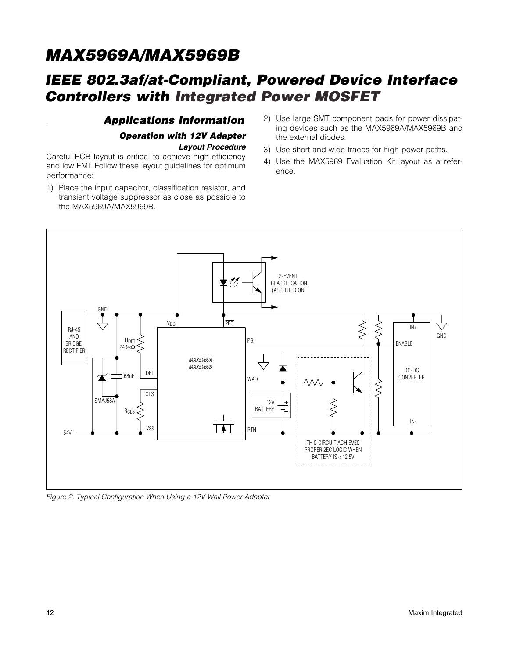## *IEEE 802.3af/at-Compliant, Powered Device Interface Controllers with Integrated Power MOSFET*

### *Applications Information Operation with 12V Adapter Layout Procedure*

Careful PCB layout is critical to achieve high efficiency and low EMI. Follow these layout guidelines for optimum performance:

- 1) Place the input capacitor, classification resistor, and transient voltage suppressor as close as possible to the MAX5969A/MAX5969B.
- 2) Use large SMT component pads for power dissipating devices such as the MAX5969A/MAX5969B and the external diodes.
- 3) Use short and wide traces for high-power paths.
- 4) Use the MAX5969 Evaluation Kit layout as a reference.



*Figure 2. Typical Configuration When Using a 12V Wall Power Adapter*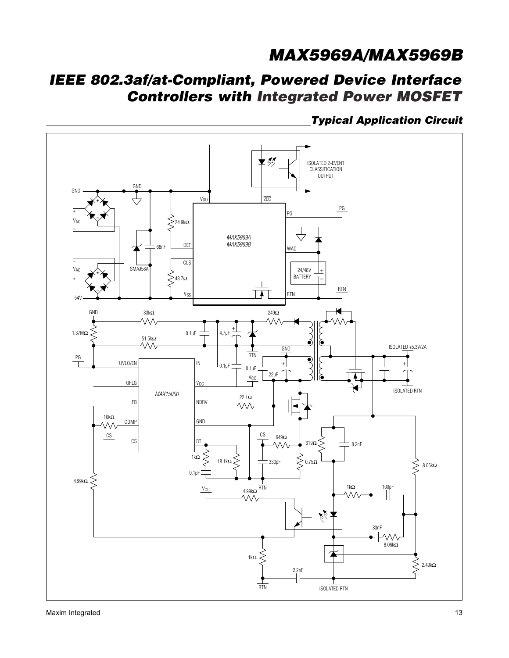## *IEEE 802.3af/at-Compliant, Powered Device Interface Controllers with Integrated Power MOSFET*

 *Typical Application Circuit*

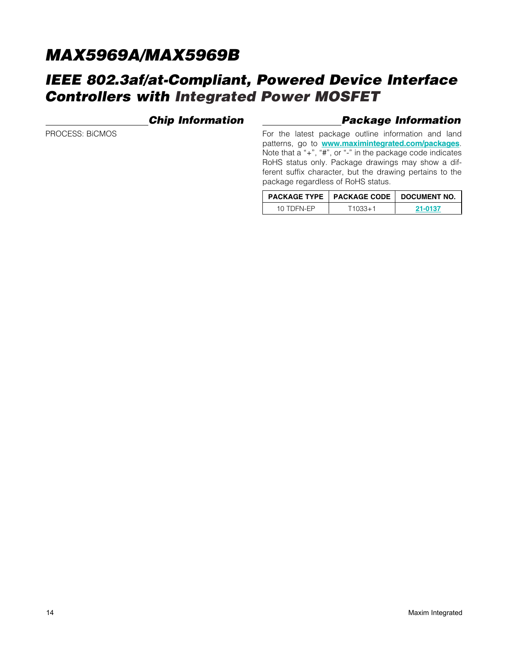### *IEEE 802.3af/at-Compliant, Powered Device Interface Controllers with Integrated Power MOSFET*

### *Chip Information*

#### *Package Information*

PROCESS: BiCMOS

For the latest package outline information and land patterns, go to <www.maximintegrated.com/packages>. Note that a "+", "#", or "-" in the package code indicates RoHS status only. Package drawings may show a different suffix character, but the drawing pertains to the package regardless of RoHS status.

|            | <b>PACKAGE TYPE   PACKAGE CODE   DOCUMENT NO.</b> |         |  |
|------------|---------------------------------------------------|---------|--|
| 10 TDEN-FP | 11033+1                                           | 21-0137 |  |